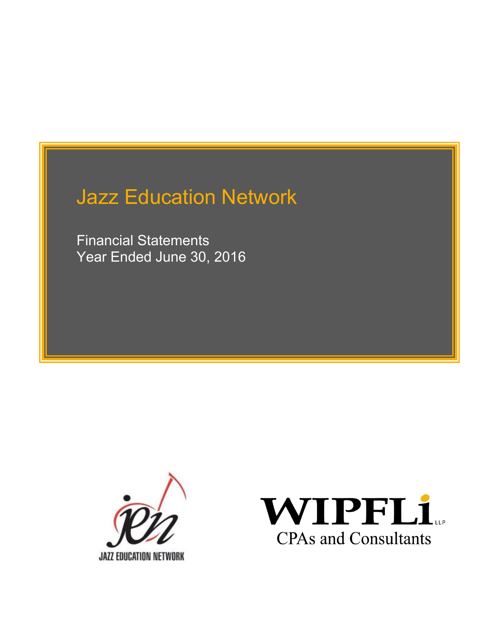Financial Statements Year Ended June 30, 2016



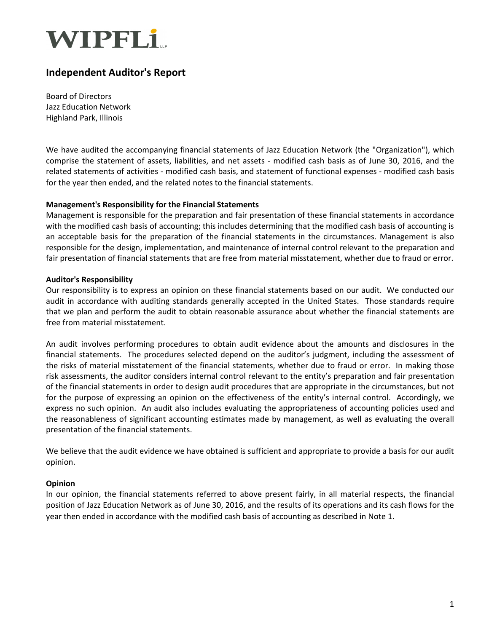

### Independent Auditor's Report

Board of Directors Jazz Education Network Highland Park, Illinois

We have audited the accompanying financial statements of Jazz Education Network (the "Organization"), which comprise the statement of assets, liabilities, and net assets - modified cash basis as of June 30, 2016, and the related statements of activities - modified cash basis, and statement of functional expenses - modified cash basis for the year then ended, and the related notes to the financial statements.

#### Management's Responsibility for the Financial Statements

Management is responsible for the preparation and fair presentation of these financial statements in accordance with the modified cash basis of accounting; this includes determining that the modified cash basis of accounting is an acceptable basis for the preparation of the financial statements in the circumstances. Management is also responsible for the design, implementation, and maintenance of internal control relevant to the preparation and fair presentation of financial statements that are free from material misstatement, whether due to fraud or error.

#### Auditor's Responsibility

Our responsibility is to express an opinion on these financial statements based on our audit. We conducted our audit in accordance with auditing standards generally accepted in the United States. Those standards require that we plan and perform the audit to obtain reasonable assurance about whether the financial statements are free from material misstatement.

An audit involves performing procedures to obtain audit evidence about the amounts and disclosures in the financial statements. The procedures selected depend on the auditor's judgment, including the assessment of the risks of material misstatement of the financial statements, whether due to fraud or error. In making those risk assessments, the auditor considers internal control relevant to the entity's preparation and fair presentation of the financial statements in order to design audit procedures that are appropriate in the circumstances, but not for the purpose of expressing an opinion on the effectiveness of the entity's internal control. Accordingly, we express no such opinion. An audit also includes evaluating the appropriateness of accounting policies used and the reasonableness of significant accounting estimates made by management, as well as evaluating the overall presentation of the financial statements.

We believe that the audit evidence we have obtained is sufficient and appropriate to provide a basis for our audit opinion.

#### Opinion

In our opinion, the financial statements referred to above present fairly, in all material respects, the financial position of Jazz Education Network as of June 30, 2016, and the results of its operations and its cash flows for the year then ended in accordance with the modified cash basis of accounting as described in Note 1.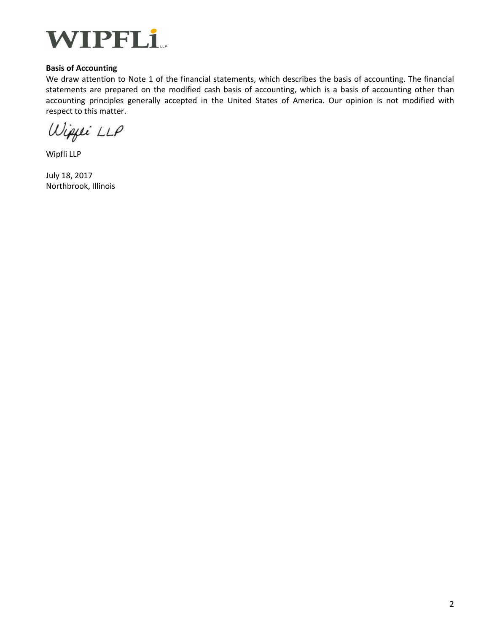

#### Basis of Accounting

We draw attention to Note 1 of the financial statements, which describes the basis of accounting. The financial statements are prepared on the modified cash basis of accounting, which is a basis of accounting other than accounting principles generally accepted in the United States of America. Our opinion is not modified with respect to this matter.

Wipper LLP

Wipfli LLP

July 18, 2017 Northbrook, Illinois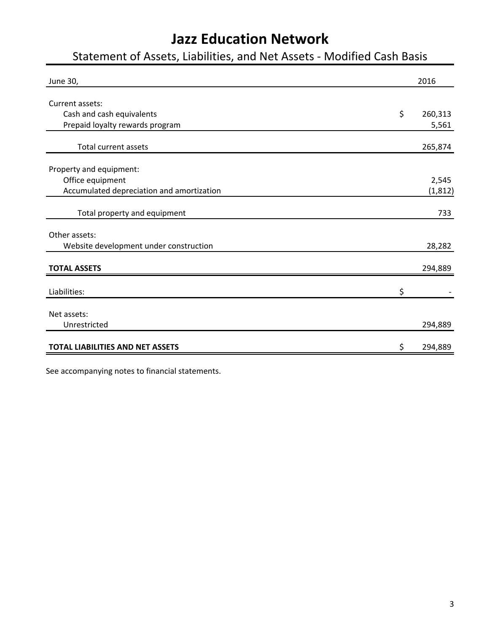## Statement of Assets, Liabilities, and Net Assets - Modified Cash Basis

| June 30,                                  | 2016          |
|-------------------------------------------|---------------|
|                                           |               |
| Current assets:                           |               |
| Cash and cash equivalents                 | \$<br>260,313 |
| Prepaid loyalty rewards program           | 5,561         |
| <b>Total current assets</b>               | 265,874       |
|                                           |               |
| Property and equipment:                   |               |
| Office equipment                          | 2,545         |
| Accumulated depreciation and amortization | (1, 812)      |
|                                           |               |
| Total property and equipment              | 733           |
|                                           |               |
| Other assets:                             |               |
| Website development under construction    | 28,282        |
|                                           |               |
| <b>TOTAL ASSETS</b>                       | 294,889       |
|                                           |               |
| Liabilities:                              | \$            |
| Net assets:                               |               |
| Unrestricted                              | 294,889       |
|                                           |               |
| <b>TOTAL LIABILITIES AND NET ASSETS</b>   | \$<br>294,889 |

See accompanying notes to financial statements.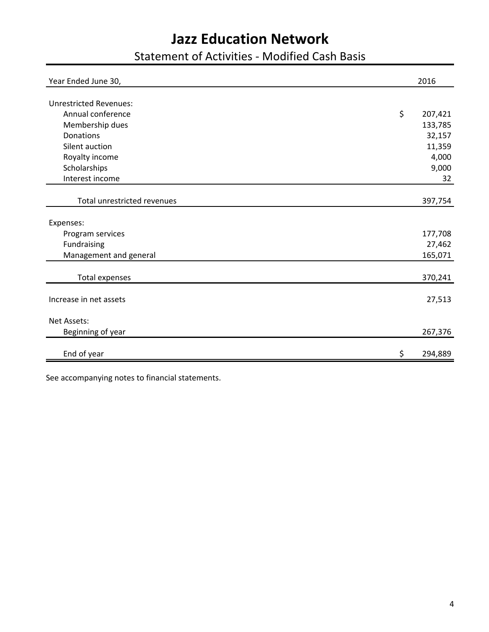Statement of Activities - Modified Cash Basis

| Year Ended June 30,           | 2016          |
|-------------------------------|---------------|
|                               |               |
| <b>Unrestricted Revenues:</b> |               |
| Annual conference             | \$<br>207,421 |
| Membership dues               | 133,785       |
| Donations                     | 32,157        |
| Silent auction                | 11,359        |
| Royalty income                | 4,000         |
| Scholarships                  | 9,000         |
| Interest income               | 32            |
|                               |               |
| Total unrestricted revenues   | 397,754       |
|                               |               |
| Expenses:                     |               |
| Program services              | 177,708       |
| Fundraising                   | 27,462        |
| Management and general        | 165,071       |
|                               |               |
| <b>Total expenses</b>         | 370,241       |
|                               |               |
| Increase in net assets        | 27,513        |
|                               |               |
| Net Assets:                   |               |
| Beginning of year             | 267,376       |
|                               |               |
| End of year                   | \$<br>294,889 |

See accompanying notes to financial statements.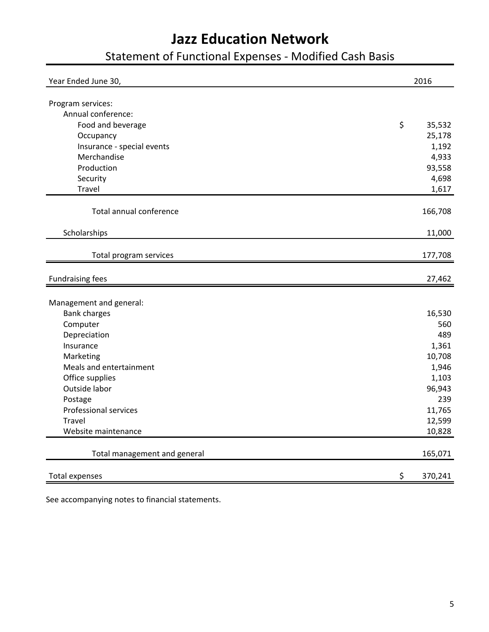# Statement of Functional Expenses - Modified Cash Basis

| Year Ended June 30,                     | 2016              |
|-----------------------------------------|-------------------|
|                                         |                   |
| Program services:<br>Annual conference: |                   |
| Food and beverage                       | $\zeta$<br>35,532 |
|                                         | 25,178            |
| Occupancy<br>Insurance - special events | 1,192             |
| Merchandise                             | 4,933             |
| Production                              | 93,558            |
| Security                                | 4,698             |
| Travel                                  |                   |
|                                         | 1,617             |
| Total annual conference                 | 166,708           |
| Scholarships                            | 11,000            |
| Total program services                  | 177,708           |
|                                         |                   |
| <b>Fundraising fees</b>                 | 27,462            |
|                                         |                   |
| Management and general:                 |                   |
| <b>Bank charges</b>                     | 16,530            |
| Computer                                | 560               |
| Depreciation                            | 489               |
| Insurance                               | 1,361             |
| Marketing                               | 10,708            |
| Meals and entertainment                 | 1,946             |
| Office supplies                         | 1,103             |
| Outside labor                           | 96,943            |
| Postage                                 | 239               |
| <b>Professional services</b>            | 11,765            |
| <b>Travel</b>                           | 12,599            |
| Website maintenance                     | 10,828            |
| Total management and general            | 165,071           |
| <b>Total expenses</b>                   | \$<br>370,241     |

See accompanying notes to financial statements.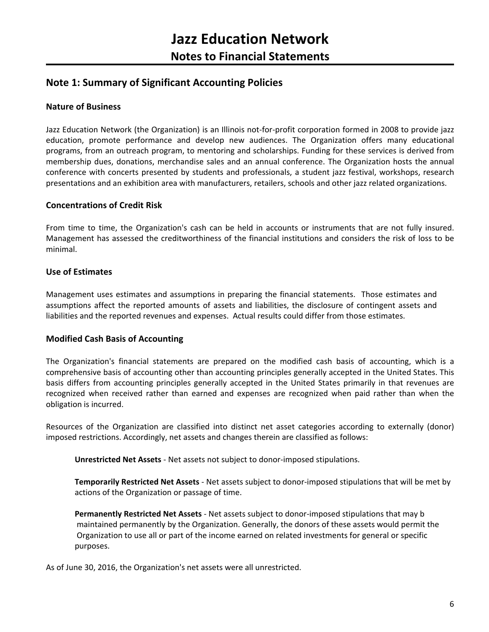### Note 1: Summary of Significant Accounting Policies

#### Nature of Business

Jazz Education Network (the Organization) is an Illinois not-for-profit corporation formed in 2008 to provide jazz education, promote performance and develop new audiences. The Organization offers many educational programs, from an outreach program, to mentoring and scholarships. Funding for these services is derived from membership dues, donations, merchandise sales and an annual conference. The Organization hosts the annual conference with concerts presented by students and professionals, a student jazz festival, workshops, research presentations and an exhibition area with manufacturers, retailers, schools and other jazz related organizations.

#### Concentrations of Credit Risk

From time to time, the Organization's cash can be held in accounts or instruments that are not fully insured. Management has assessed the creditworthiness of the financial institutions and considers the risk of loss to be minimal.

#### Use of Estimates

Management uses estimates and assumptions in preparing the financial statements. Those estimates and assumptions affect the reported amounts of assets and liabilities, the disclosure of contingent assets and liabilities and the reported revenues and expenses. Actual results could differ from those estimates.

#### Modified Cash Basis of Accounting

The Organization's financial statements are prepared on the modified cash basis of accounting, which is a comprehensive basis of accounting other than accounting principles generally accepted in the United States. This basis differs from accounting principles generally accepted in the United States primarily in that revenues are recognized when received rather than earned and expenses are recognized when paid rather than when the obligation is incurred.

Resources of the Organization are classified into distinct net asset categories according to externally (donor) imposed restrictions. Accordingly, net assets and changes therein are classified as follows:

Unrestricted Net Assets - Net assets not subject to donor-imposed stipulations.

Temporarily Restricted Net Assets - Net assets subject to donor-imposed stipulations that will be met by actions of the Organization or passage of time.

Permanently Restricted Net Assets - Net assets subject to donor-imposed stipulations that may b maintained permanently by the Organization. Generally, the donors of these assets would permit the Organization to use all or part of the income earned on related investments for general or specific purposes.

As of June 30, 2016, the Organization's net assets were all unrestricted.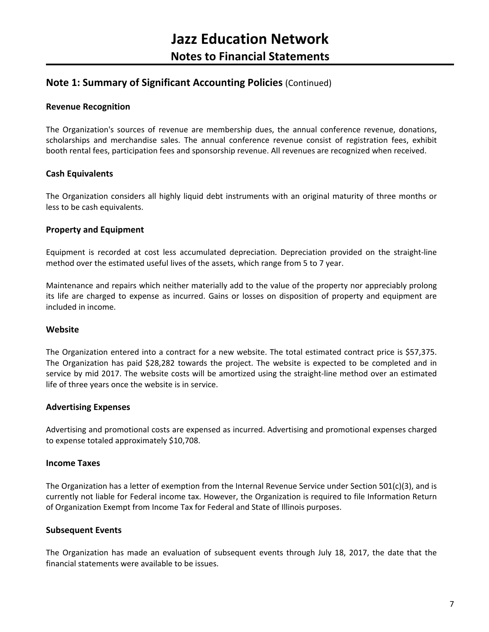### Note 1: Summary of Significant Accounting Policies (Continued)

#### Revenue Recognition

The Organization's sources of revenue are membership dues, the annual conference revenue, donations, scholarships and merchandise sales. The annual conference revenue consist of registration fees, exhibit booth rental fees, participation fees and sponsorship revenue. All revenues are recognized when received.

#### Cash Equivalents

The Organization considers all highly liquid debt instruments with an original maturity of three months or less to be cash equivalents.

#### Property and Equipment

Equipment is recorded at cost less accumulated depreciation. Depreciation provided on the straight-line method over the estimated useful lives of the assets, which range from 5 to 7 year.

Maintenance and repairs which neither materially add to the value of the property nor appreciably prolong its life are charged to expense as incurred. Gains or losses on disposition of property and equipment are included in income.

#### **Website**

The Organization entered into a contract for a new website. The total estimated contract price is \$57,375. The Organization has paid \$28,282 towards the project. The website is expected to be completed and in service by mid 2017. The website costs will be amortized using the straight-line method over an estimated life of three years once the website is in service.

#### Advertising Expenses

Advertising and promotional costs are expensed as incurred. Advertising and promotional expenses charged to expense totaled approximately \$10,708.

#### Income Taxes

The Organization has a letter of exemption from the Internal Revenue Service under Section 501(c)(3), and is currently not liable for Federal income tax. However, the Organization is required to file Information Return of Organization Exempt from Income Tax for Federal and State of Illinois purposes.

#### Subsequent Events

The Organization has made an evaluation of subsequent events through July 18, 2017, the date that the financial statements were available to be issues.